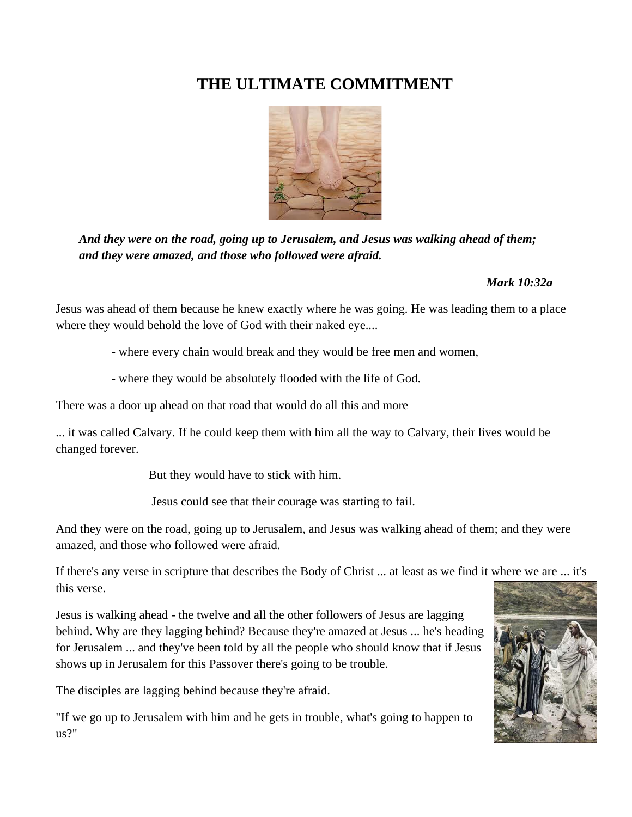# **THE ULTIMATE COMMITMENT**



*And they were on the road, going up to Jerusalem, and Jesus was walking ahead of them; and they were amazed, and those who followed were afraid.*

# *Mark 10:32a*

Jesus was ahead of them because he knew exactly where he was going. He was leading them to a place where they would behold the love of God with their naked eye....

- where every chain would break and they would be free men and women,

- where they would be absolutely flooded with the life of God.

There was a door up ahead on that road that would do all this and more

... it was called Calvary. If he could keep them with him all the way to Calvary, their lives would be changed forever.

But they would have to stick with him.

Jesus could see that their courage was starting to fail.

And they were on the road, going up to Jerusalem, and Jesus was walking ahead of them; and they were amazed, and those who followed were afraid.

If there's any verse in scripture that describes the Body of Christ ... at least as we find it where we are ... it's this verse.

Jesus is walking ahead - the twelve and all the other followers of Jesus are lagging behind. Why are they lagging behind? Because they're amazed at Jesus ... he's heading for Jerusalem ... and they've been told by all the people who should know that if Jesus shows up in Jerusalem for this Passover there's going to be trouble.

The disciples are lagging behind because they're afraid.

"If we go up to Jerusalem with him and he gets in trouble, what's going to happen to us?"

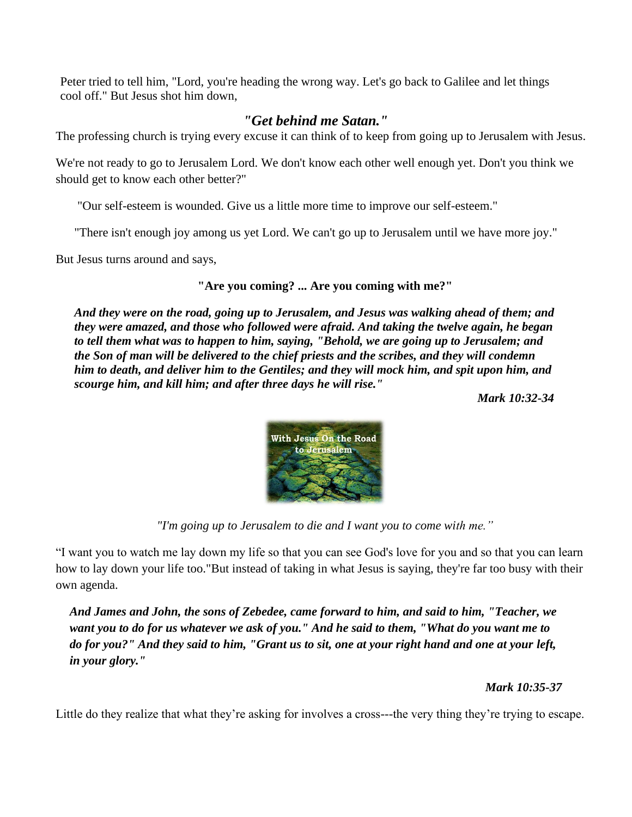Peter tried to tell him, "Lord, you're heading the wrong way. Let's go back to Galilee and let things cool off." But Jesus shot him down,

## *"Get behind me Satan."*

The professing church is trying every excuse it can think of to keep from going up to Jerusalem with Jesus.

We're not ready to go to Jerusalem Lord. We don't know each other well enough yet. Don't you think we should get to know each other better?"

"Our self-esteem is wounded. Give us a little more time to improve our self-esteem."

"There isn't enough joy among us yet Lord. We can't go up to Jerusalem until we have more joy."

But Jesus turns around and says,

#### **"Are you coming? ... Are you coming with me?"**

*And they were on the road, going up to Jerusalem, and Jesus was walking ahead of them; and they were amazed, and those who followed were afraid. And taking the twelve again, he began to tell them what was to happen to him, saying, "Behold, we are going up to Jerusalem; and the Son of man will be delivered to the chief priests and the scribes, and they will condemn him to death, and deliver him to the Gentiles; and they will mock him, and spit upon him, and scourge him, and kill him; and after three days he will rise."*

*Mark 10:32-34* 



*"I'm going up to Jerusalem to die and I want you to come with me."*

"I want you to watch me lay down my life so that you can see God's love for you and so that you can learn how to lay down your life too."But instead of taking in what Jesus is saying, they're far too busy with their own agenda.

*And James and John, the sons of Zebedee, came forward to him, and said to him, "Teacher, we want you to do for us whatever we ask of you." And he said to them, "What do you want me to do for you?" And they said to him, "Grant us to sit, one at your right hand and one at your left, in your glory."*

*Mark 10:35-37*

Little do they realize that what they're asking for involves a cross---the very thing they're trying to escape.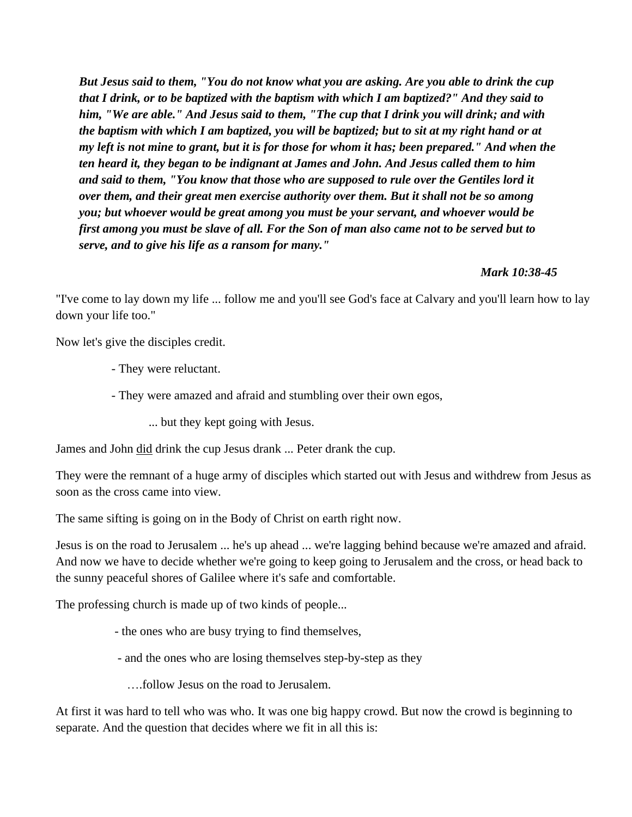*But Jesus said to them, "You do not know what you are asking. Are you able to drink the cup that I drink, or to be baptized with the baptism with which I am baptized?" And they said to him, "We are able." And Jesus said to them, "The cup that I drink you will drink; and with the baptism with which I am baptized, you will be baptized; but to sit at my right hand or at my left is not mine to grant, but it is for those for whom it has; been prepared." And when the ten heard it, they began to be indignant at James and John. And Jesus called them to him and said to them, "You know that those who are supposed to rule over the Gentiles lord it over them, and their great men exercise authority over them. But it shall not be so among you; but whoever would be great among you must be your servant, and whoever would be first among you must be slave of all. For the Son of man also came not to be served but to serve, and to give his life as a ransom for many."* 

#### *Mark 10:38-45*

"I've come to lay down my life ... follow me and you'll see God's face at Calvary and you'll learn how to lay down your life too."

Now let's give the disciples credit.

- They were reluctant.
- They were amazed and afraid and stumbling over their own egos,
	- ... but they kept going with Jesus.

James and John did drink the cup Jesus drank ... Peter drank the cup.

They were the remnant of a huge army of disciples which started out with Jesus and withdrew from Jesus as soon as the cross came into view.

The same sifting is going on in the Body of Christ on earth right now.

Jesus is on the road to Jerusalem ... he's up ahead ... we're lagging behind because we're amazed and afraid. And now we have to decide whether we're going to keep going to Jerusalem and the cross, or head back to the sunny peaceful shores of Galilee where it's safe and comfortable.

The professing church is made up of two kinds of people...

- the ones who are busy trying to find themselves,
- and the ones who are losing themselves step-by-step as they

….follow Jesus on the road to Jerusalem.

At first it was hard to tell who was who. It was one big happy crowd. But now the crowd is beginning to separate. And the question that decides where we fit in all this is: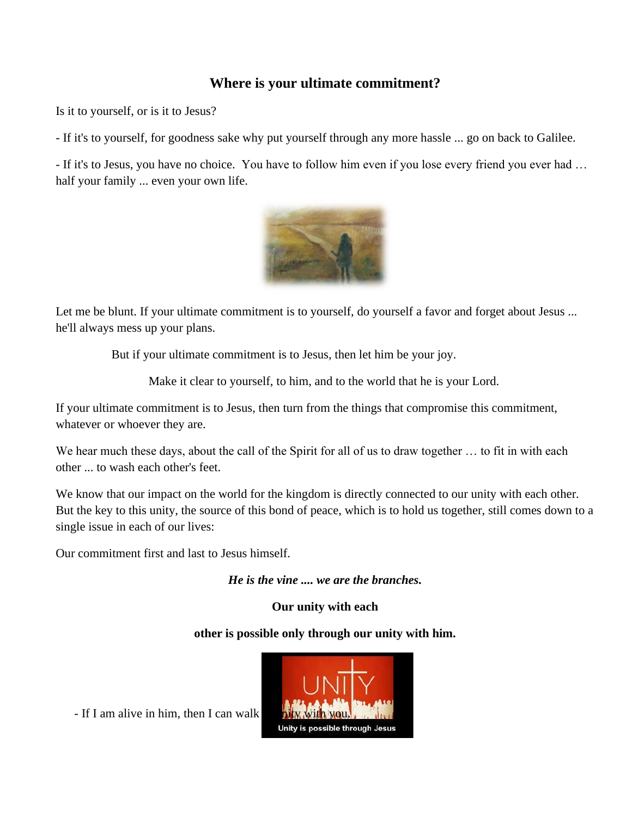# **Where is your ultimate commitment?**

Is it to yourself, or is it to Jesus?

- If it's to yourself, for goodness sake why put yourself through any more hassle ... go on back to Galilee.

- If it's to Jesus, you have no choice. You have to follow him even if you lose every friend you ever had … half your family ... even your own life.



Let me be blunt. If your ultimate commitment is to yourself, do yourself a favor and forget about Jesus ... he'll always mess up your plans.

But if your ultimate commitment is to Jesus, then let him be your joy.

Make it clear to yourself, to him, and to the world that he is your Lord.

If your ultimate commitment is to Jesus, then turn from the things that compromise this commitment, whatever or whoever they are.

We hear much these days, about the call of the Spirit for all of us to draw together ... to fit in with each other ... to wash each other's feet.

We know that our impact on the world for the kingdom is directly connected to our unity with each other. But the key to this unity, the source of this bond of peace, which is to hold us together, still comes down to a single issue in each of our lives:

Our commitment first and last to Jesus himself.

*He is the vine .... we are the branches.*

**Our unity with each**

### **other is possible only through our unity with him.**

- If I am alive in him, then I can walk

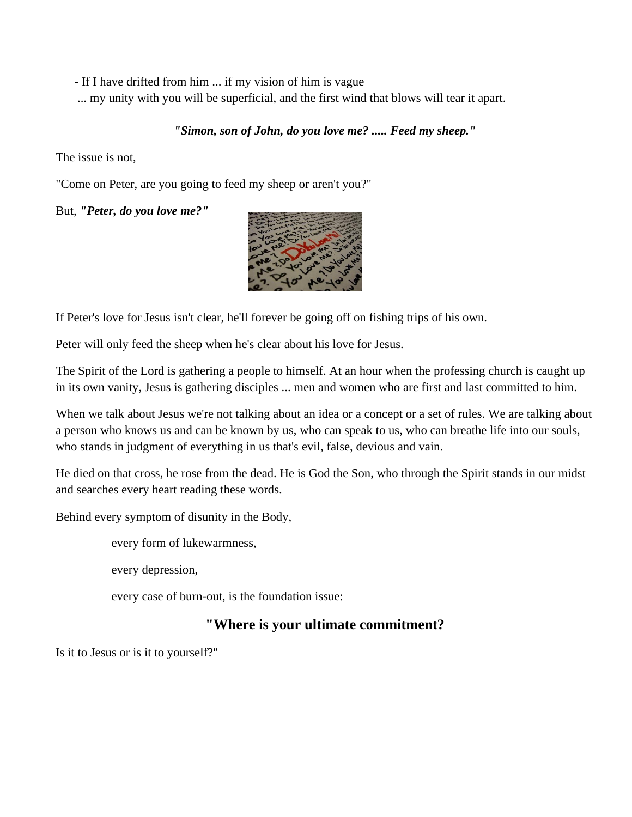- If I have drifted from him ... if my vision of him is vague

... my unity with you will be superficial, and the first wind that blows will tear it apart.

## *"Simon, son of John, do you love me? ..... Feed my sheep."*

The issue is not,

"Come on Peter, are you going to feed my sheep or aren't you?"

But, *"Peter, do you love me?"*



If Peter's love for Jesus isn't clear, he'll forever be going off on fishing trips of his own.

Peter will only feed the sheep when he's clear about his love for Jesus.

The Spirit of the Lord is gathering a people to himself. At an hour when the professing church is caught up in its own vanity, Jesus is gathering disciples ... men and women who are first and last committed to him.

When we talk about Jesus we're not talking about an idea or a concept or a set of rules. We are talking about a person who knows us and can be known by us, who can speak to us, who can breathe life into our souls, who stands in judgment of everything in us that's evil, false, devious and vain.

He died on that cross, he rose from the dead. He is God the Son, who through the Spirit stands in our midst and searches every heart reading these words.

Behind every symptom of disunity in the Body,

every form of lukewarmness,

every depression,

every case of burn-out, is the foundation issue:

# **"Where is your ultimate commitment?**

Is it to Jesus or is it to yourself?"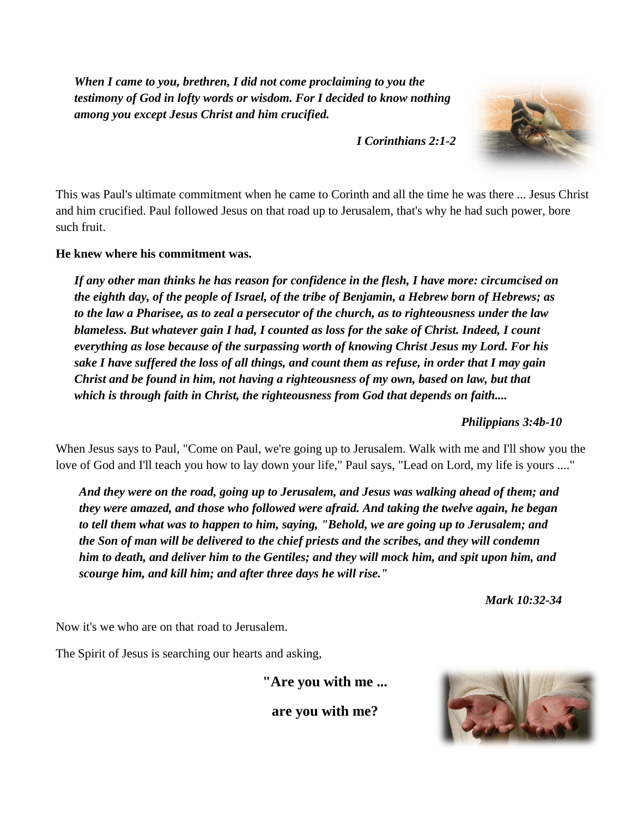*When I came to you, brethren, I did not come proclaiming to you the testimony of God in lofty words or wisdom. For I decided to know nothing among you except Jesus Christ and him crucified.*

*I Corinthians 2:1-2*



This was Paul's ultimate commitment when he came to Corinth and all the time he was there ... Jesus Christ and him crucified. Paul followed Jesus on that road up to Jerusalem, that's why he had such power, bore such fruit.

**He knew where his commitment was.**

*If any other man thinks he has reason for confidence in the flesh, I have more: circumcised on the eighth day, of the people of Israel, of the tribe of Benjamin, a Hebrew born of Hebrews; as to the law a Pharisee, as to zeal a persecutor of the church, as to righteousness under the law blameless. But whatever gain I had, I counted as loss for the sake of Christ. Indeed, I count everything as lose because of the surpassing worth of knowing Christ Jesus my Lord. For his sake I have suffered the loss of all things, and count them as refuse, in order that I may gain Christ and be found in him, not having a righteousness of my own, based on law, but that which is through faith in Christ, the righteousness from God that depends on faith....*

*Philippians 3:4b-10*

When Jesus says to Paul, "Come on Paul, we're going up to Jerusalem. Walk with me and I'll show you the love of God and I'll teach you how to lay down your life," Paul says, "Lead on Lord, my life is yours ...."

*And they were on the road, going up to Jerusalem, and Jesus was walking ahead of them; and they were amazed, and those who followed were afraid. And taking the twelve again, he began to tell them what was to happen to him, saying, "Behold, we are going up to Jerusalem; and the Son of man will be delivered to the chief priests and the scribes, and they will condemn him to death, and deliver him to the Gentiles; and they will mock him, and spit upon him, and scourge him, and kill him; and after three days he will rise."*

*Mark 10:32-34*

Now it's we who are on that road to Jerusalem.

The Spirit of Jesus is searching our hearts and asking,

**"Are you with me ...**

**are you with me?**